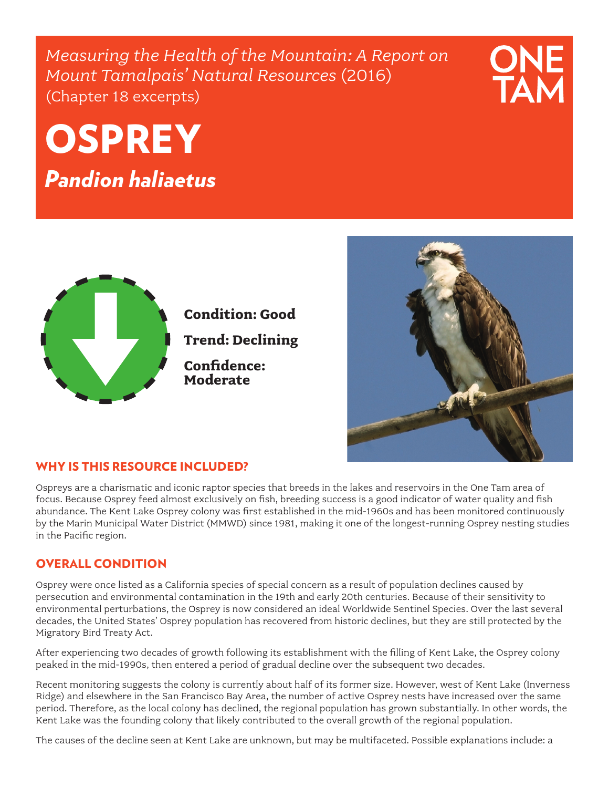*Measuring the Health of the Mountain: A Report on Mount Tamalpais' Natural Resources* (2016) (Chapter 18 excerpts)

# **OSPREY**

*Pandion haliaetus*



**Condition: Good Trend: Declining**

**Confidence: Moderate**

### WHY IS THIS RESOURCE INCLUDED?

Ospreys are a charismatic and iconic raptor species that breeds in the lakes and reservoirs in the One Tam area of focus. Because Osprey feed almost exclusively on fish, breeding success is a good indicator of water quality and fish abundance. The Kent Lake Osprey colony was first established in the mid-1960s and has been monitored continuously by the Marin Municipal Water District (MMWD) since 1981, making it one of the longest-running Osprey nesting studies in the Pacific region.

## OVERALL CONDITION

Osprey were once listed as a California species of special concern as a result of population declines caused by persecution and environmental contamination in the 19th and early 20th centuries. Because of their sensitivity to environmental perturbations, the Osprey is now considered an ideal Worldwide Sentinel Species. Over the last several decades, the United States' Osprey population has recovered from historic declines, but they are still protected by the Migratory Bird Treaty Act.

After experiencing two decades of growth following its establishment with the filling of Kent Lake, the Osprey colony peaked in the mid-1990s, then entered a period of gradual decline over the subsequent two decades.

Recent monitoring suggests the colony is currently about half of its former size. However, west of Kent Lake (Inverness Ridge) and elsewhere in the San Francisco Bay Area, the number of active Osprey nests have increased over the same period. Therefore, as the local colony has declined, the regional population has grown substantially. In other words, the Kent Lake was the founding colony that likely contributed to the overall growth of the regional population.

The causes of the decline seen at Kent Lake are unknown, but may be multifaceted. Possible explanations include: a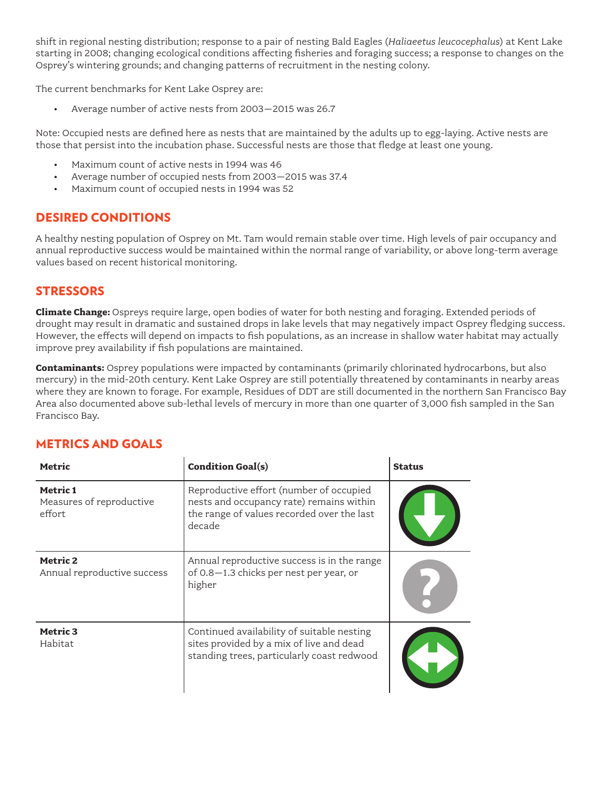shift in regional nesting distribution; response to a pair of nesting Bald Eagles (*Haliaeetus leucocephalus*) at Kent Lake starting in 2008; changing ecological conditions affecting fisheries and foraging success; a response to changes on the Osprey's wintering grounds; and changing patterns of recruitment in the nesting colony.

The current benchmarks for Kent Lake Osprey are:

• Average number of active nests from 2003–2015 was 26.7

Note: Occupied nests are defined here as nests that are maintained by the adults up to egg-laying. Active nests are those that persist into the incubation phase. Successful nests are those that fledge at least one young.

- Maximum count of active nests in 1994 was 46
- Average number of occupied nests from 2003–2015 was 37.4
- Maximum count of occupied nests in 1994 was 52

#### DESIRED CONDITIONS

A healthy nesting population of Osprey on Mt. Tam would remain stable over time. High levels of pair occupancy and annual reproductive success would be maintained within the normal range of variability, or above long-term average values based on recent historical monitoring.

#### **STRESSORS**

**Climate Change:** Ospreys require large, open bodies of water for both nesting and foraging. Extended periods of drought may result in dramatic and sustained drops in lake levels that may negatively impact Osprey fledging success. However, the effects will depend on impacts to fish populations, as an increase in shallow water habitat may actually improve prey availability if fish populations are maintained.

**Contaminants:** Osprey populations were impacted by contaminants (primarily chlorinated hydrocarbons, but also mercury) in the mid-20th century. Kent Lake Osprey are still potentially threatened by contaminants in nearby areas where they are known to forage. For example, Residues of DDT are still documented in the northern San Francisco Bay Area also documented above sub-lethal levels of mercury in more than one quarter of 3,000 fish sampled in the San Francisco Bay.

#### METRICS AND GOALS

| Metric                                         | <b>Condition Goal(s)</b>                                                                                                                    | <b>Status</b> |
|------------------------------------------------|---------------------------------------------------------------------------------------------------------------------------------------------|---------------|
| Metric 1<br>Measures of reproductive<br>effort | Reproductive effort (number of occupied<br>nests and occupancy rate) remains within<br>the range of values recorded over the last<br>decade |               |
| Metric 2<br>Annual reproductive success        | Annual reproductive success is in the range<br>of 0.8-1.3 chicks per nest per year, or<br>higher                                            |               |
| Metric 3<br>Habitat                            | Continued availability of suitable nesting<br>sites provided by a mix of live and dead<br>standing trees, particularly coast redwood        |               |